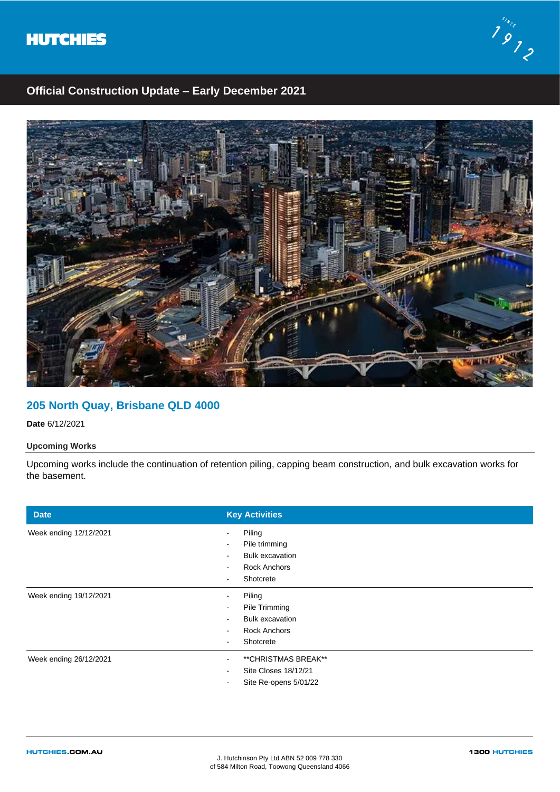



# **Official Construction Update – Early December 2021**



## **205 North Quay, Brisbane QLD 4000**

**Date** 6/12/2021

### **Upcoming Works**

Upcoming works include the continuation of retention piling, capping beam construction, and bulk excavation works for the basement.

| <b>Date</b>            | <b>Key Activities</b>                               |
|------------------------|-----------------------------------------------------|
| Week ending 12/12/2021 | Piling<br>Pile trimming<br>$\overline{\phantom{a}}$ |
|                        | <b>Bulk excavation</b><br>$\sim$                    |
|                        | <b>Rock Anchors</b><br>$\sim$                       |
|                        | Shotcrete<br>$\overline{\phantom{a}}$               |
| Week ending 19/12/2021 | Piling                                              |
|                        | Pile Trimming                                       |
|                        | <b>Bulk excavation</b><br>$\sim$                    |
|                        | <b>Rock Anchors</b><br>$\sim$                       |
|                        | Shotcrete<br>$\sim$                                 |
| Week ending 26/12/2021 | ** CHRISTMAS BREAK**                                |
|                        | Site Closes 18/12/21<br>$\sim$                      |
|                        | Site Re-opens 5/01/22<br>$\,$                       |
|                        |                                                     |